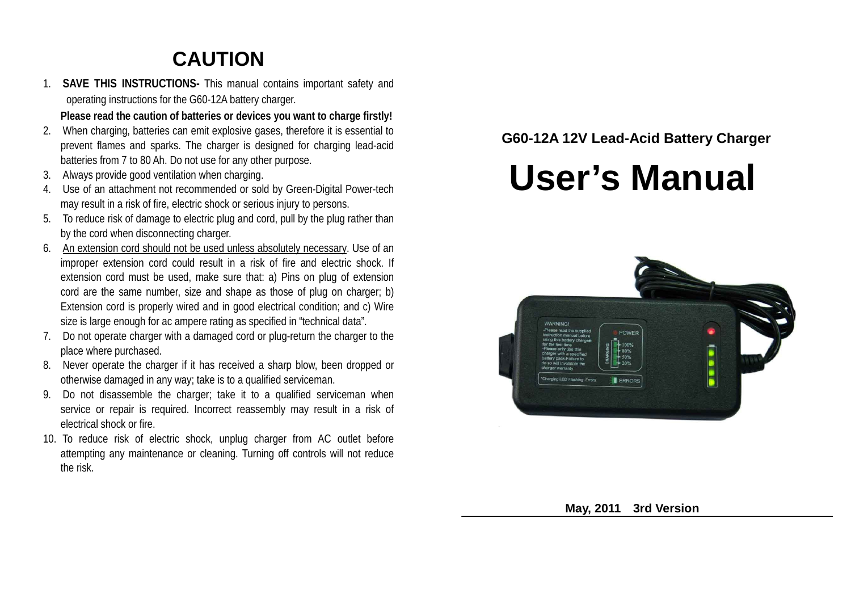## **CAUTION**

1. **SAVE THIS INSTRUCTIONS-** This manual contains important safety and operating instructions for the G60-12A battery charger.

**Please read the caution of batteries or devices you want to charge firstly!**

- 2. When charging, batteries can emit explosive gases, therefore it is essential to prevent flames and sparks. The charger is designed for charging lead-acid batteries from 7 to 80 Ah. Do not use for any other purpose.
- 3. Always provide good ventilation when charging.
- 4. Use of an attachment not recommended or sold by Green-Digital Power-tech may result in a risk of fire, electric shock or serious injury to persons.
- 5. To reduce risk of damage to electric plug and cord, pull by the plug rather than by the cord when disconnecting charger.
- 6. An extension cord should not be used unless absolutely necessary. Use of an improper extension cord could result in a risk of fire and electric shock. If extension cord must be used, make sure that: a) Pins on plug of extension cord are the same number, size and shape as those of plug on charger; b) Extension cord is properly wired and in good electrical condition; and c) Wire size is large enough for ac ampere rating as specified in "technical data".
- 7. Do not operate charger with a damaged cord or plug-return the charger to the place where purchased.
- 8. Never operate the charger if it has received a sharp blow, been dropped or otherwise damaged in any way; take is to a qualified serviceman.
- 9. Do not disassemble the charger; take it to a qualified serviceman when service or repair is required. Incorrect reassembly may result in a risk of electrical shock or fire.
- 10. To reduce risk of electric shock, unplug charger from AC outlet before attempting any maintenance or cleaning. Turning off controls will not reduce the risk.

### **G60-12A 12V Lead-Acid Battery Charger**

# **User's Manual**



 **May, 2011 3rd Version**